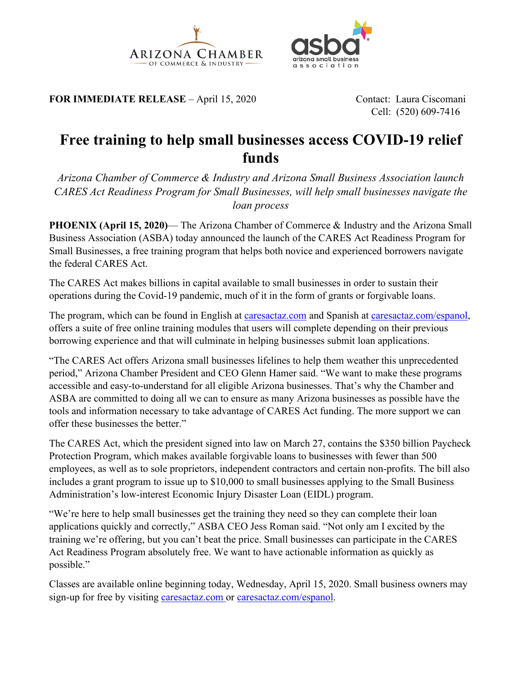



**FOR IMMEDIATE RELEASE** – April 15, 2020 Contact: Laura Ciscomani

Cell: (520) 609-7416

## **Free training to help small businesses access COVID-19 relief funds**

*Arizona Chamber of Commerce & Industry and Arizona Small Business Association launch CARES Act Readiness Program for Small Businesses, will help small businesses navigate the loan process*

**PHOENIX (April 15, 2020)— The Arizona Chamber of Commerce & Industry and the Arizona Small** Business Association (ASBA) today announced the launch of the CARES Act Readiness Program for Small Businesses, a free training program that helps both novice and experienced borrowers navigate the federal CARES Act.

The CARES Act makes billions in capital available to small businesses in order to sustain their operations during the Covid-19 pandemic, much of it in the form of grants or forgivable loans.

The program, which can be found in English at [caresactaz.com](http://caresactaz.com/) and Spanish at [caresactaz.com/espanol,](http://www.caresactaz.com/espanol) offers a suite of free online training modules that users will complete depending on their previous borrowing experience and that will culminate in helping businesses submit loan applications.

"The CARES Act offers Arizona small businesses lifelines to help them weather this unprecedented period," Arizona Chamber President and CEO Glenn Hamer said. "We want to make these programs accessible and easy-to-understand for all eligible Arizona businesses. That's why the Chamber and ASBA are committed to doing all we can to ensure as many Arizona businesses as possible have the tools and information necessary to take advantage of CARES Act funding. The more support we can offer these businesses the better."

The CARES Act, which the president signed into law on March 27, contains the \$350 billion Paycheck Protection Program, which makes available forgivable loans to businesses with fewer than 500 employees, as well as to sole proprietors, independent contractors and certain non-profits. The bill also includes a grant program to issue up to \$10,000 to small businesses applying to the Small Business Administration's low-interest Economic Injury Disaster Loan (EIDL) program.

"We're here to help small businesses get the training they need so they can complete their loan applications quickly and correctly," ASBA CEO Jess Roman said. "Not only am I excited by the training we're offering, but you can't beat the price. Small businesses can participate in the CARES Act Readiness Program absolutely free. We want to have actionable information as quickly as possible."

Classes are available online beginning today, Wednesday, April 15, 2020. Small business owners may sign-up for free by visiting [caresactaz.com](http://caresactaz.com/) or [caresactaz.com/espanol.](http://www.caresactaz.com/espanol)